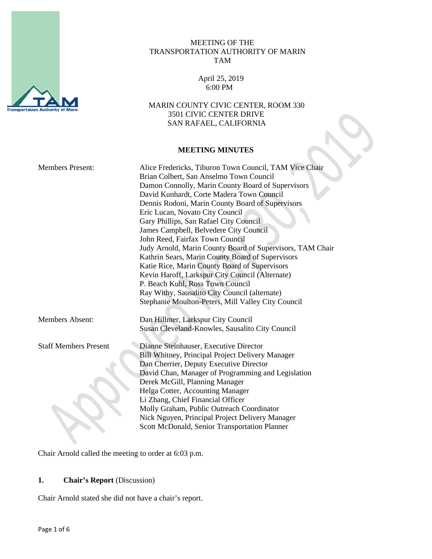

## MEETING OF THE TRANSPORTATION AUTHORITY OF MARIN TAM

 April 25, 2019 6:00 PM

 MARIN COUNTY CIVIC CENTER, ROOM 330 3501 CIVIC CENTER DRIVE SAN RAFAEL, CALIFORNIA

#### **MEETING MINUTES**

|                              | <b>MEETING MINUTES</b>                                                                                                                                                                                                                                                                                                                                                                                                                                                                                                                                                                                                                                                                                                                                                            |
|------------------------------|-----------------------------------------------------------------------------------------------------------------------------------------------------------------------------------------------------------------------------------------------------------------------------------------------------------------------------------------------------------------------------------------------------------------------------------------------------------------------------------------------------------------------------------------------------------------------------------------------------------------------------------------------------------------------------------------------------------------------------------------------------------------------------------|
| <b>Members Present:</b>      | Alice Fredericks, Tiburon Town Council, TAM Vice Chair<br>Brian Colbert, San Anselmo Town Council<br>Damon Connolly, Marin County Board of Supervisors<br>David Kunhardt, Corte Madera Town Council<br>Dennis Rodoni, Marin County Board of Supervisors<br>Eric Lucan, Novato City Council<br>Gary Phillips, San Rafael City Council<br>James Campbell, Belvedere City Council<br>John Reed, Fairfax Town Council<br>Judy Arnold, Marin County Board of Supervisors, TAM Chair<br>Kathrin Sears, Marin County Board of Supervisors<br>Katie Rice, Marin County Board of Supervisors<br>Kevin Haroff, Larkspur City Council (Alternate)<br>P. Beach Kuhl, Ross Town Council<br>Ray Withy, Sausalito City Council (alternate)<br>Stephanie Moulton-Peters, Mill Valley City Council |
| <b>Members Absent:</b>       | Dan Hillmer, Larkspur City Council<br>Susan Cleveland-Knowles, Sausalito City Council                                                                                                                                                                                                                                                                                                                                                                                                                                                                                                                                                                                                                                                                                             |
| <b>Staff Members Present</b> | Dianne Steinhauser, Executive Director<br>Bill Whitney, Principal Project Delivery Manager<br>Dan Cherrier, Deputy Executive Director<br>David Chan, Manager of Programming and Legislation<br>Derek McGill, Planning Manager<br>Helga Cotter, Accounting Manager<br>Li Zhang, Chief Financial Officer<br>Molly Graham, Public Outreach Coordinator<br>Nick Nguyen, Principal Project Delivery Manager<br>Scott McDonald, Senior Transportation Planner                                                                                                                                                                                                                                                                                                                           |

Chair Arnold called the meeting to order at 6:03 p.m.

# **1. Chair's Report** (Discussion)

Chair Arnold stated she did not have a chair's report.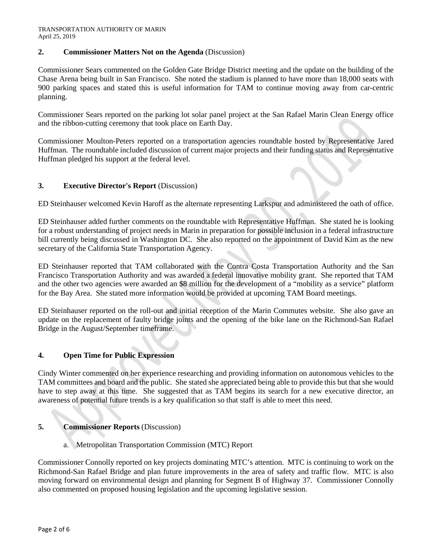## **2. Commissioner Matters Not on the Agenda** (Discussion)

Commissioner Sears commented on the Golden Gate Bridge District meeting and the update on the building of the Chase Arena being built in San Francisco. She noted the stadium is planned to have more than 18,000 seats with 900 parking spaces and stated this is useful information for TAM to continue moving away from car-centric planning.

Commissioner Sears reported on the parking lot solar panel project at the San Rafael Marin Clean Energy office and the ribbon-cutting ceremony that took place on Earth Day.

Commissioner Moulton-Peters reported on a transportation agencies roundtable hosted by Representative Jared Huffman. The roundtable included discussion of current major projects and their funding status and Representative Huffman pledged his support at the federal level.

## **3. Executive Director's Report** (Discussion)

ED Steinhauser welcomed Kevin Haroff as the alternate representing Larkspur and administered the oath of office.

ED Steinhauser added further comments on the roundtable with Representative Huffman. She stated he is looking for a robust understanding of project needs in Marin in preparation for possible inclusion in a federal infrastructure bill currently being discussed in Washington DC. She also reported on the appointment of David Kim as the new secretary of the California State Transportation Agency.

ED Steinhauser reported that TAM collaborated with the Contra Costa Transportation Authority and the San Francisco Transportation Authority and was awarded a federal innovative mobility grant. She reported that TAM and the other two agencies were awarded an \$8 million for the development of a "mobility as a service" platform for the Bay Area. She stated more information would be provided at upcoming TAM Board meetings.

ED Steinhauser reported on the roll-out and initial reception of the Marin Commutes website. She also gave an update on the replacement of faulty bridge joints and the opening of the bike lane on the Richmond-San Rafael Bridge in the August/September timeframe.

## **4. Open Time for Public Expression**

Cindy Winter commented on her experience researching and providing information on autonomous vehicles to the TAM committees and board and the public. She stated she appreciated being able to provide this but that she would have to step away at this time. She suggested that as TAM begins its search for a new executive director, an awareness of potential future trends is a key qualification so that staff is able to meet this need.

## **5. Commissioner Reports** (Discussion)

a. Metropolitan Transportation Commission (MTC) Report

Commissioner Connolly reported on key projects dominating MTC's attention. MTC is continuing to work on the Richmond-San Rafael Bridge and plan future improvements in the area of safety and traffic flow. MTC is also moving forward on environmental design and planning for Segment B of Highway 37. Commissioner Connolly also commented on proposed housing legislation and the upcoming legislative session.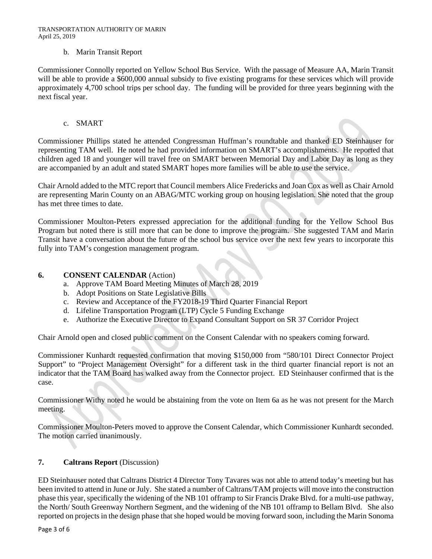#### b. Marin Transit Report

Commissioner Connolly reported on Yellow School Bus Service. With the passage of Measure AA, Marin Transit will be able to provide a \$600,000 annual subsidy to five existing programs for these services which will provide approximately 4,700 school trips per school day. The funding will be provided for three years beginning with the next fiscal year.

#### c. SMART

Commissioner Phillips stated he attended Congressman Huffman's roundtable and thanked ED Steinhauser for representing TAM well. He noted he had provided information on SMART's accomplishments. He reported that children aged 18 and younger will travel free on SMART between Memorial Day and Labor Day as long as they are accompanied by an adult and stated SMART hopes more families will be able to use the service.

Chair Arnold added to the MTC report that Council members Alice Fredericks and Joan Cox as well as Chair Arnold are representing Marin County on an ABAG/MTC working group on housing legislation. She noted that the group has met three times to date.

Commissioner Moulton-Peters expressed appreciation for the additional funding for the Yellow School Bus Program but noted there is still more that can be done to improve the program. She suggested TAM and Marin Transit have a conversation about the future of the school bus service over the next few years to incorporate this fully into TAM's congestion management program.

#### **6. CONSENT CALENDAR** (Action)

- a. Approve TAM Board Meeting Minutes of March 28, 2019
- b. Adopt Positions on State Legislative Bills
- c. Review and Acceptance of the FY2018-19 Third Quarter Financial Report
- d. Lifeline Transportation Program (LTP) Cycle 5 Funding Exchange
- e. Authorize the Executive Director to Expand Consultant Support on SR 37 Corridor Project

Chair Arnold open and closed public comment on the Consent Calendar with no speakers coming forward.

Commissioner Kunhardt requested confirmation that moving \$150,000 from "580/101 Direct Connector Project Support" to "Project Management Oversight" for a different task in the third quarter financial report is not an indicator that the TAM Board has walked away from the Connector project. ED Steinhauser confirmed that is the case.

Commissioner Withy noted he would be abstaining from the vote on Item 6a as he was not present for the March meeting.

Commissioner Moulton-Peters moved to approve the Consent Calendar, which Commissioner Kunhardt seconded. The motion carried unanimously.

#### **7. Caltrans Report** (Discussion)

ED Steinhauser noted that Caltrans District 4 Director Tony Tavares was not able to attend today's meeting but has been invited to attend in June or July. She stated a number of Caltrans/TAM projects will move into the construction phase this year, specifically the widening of the NB 101 offramp to Sir Francis Drake Blvd. for a multi-use pathway, the North/ South Greenway Northern Segment, and the widening of the NB 101 offramp to Bellam Blvd. She also reported on projects in the design phase that she hoped would be moving forward soon, including the Marin Sonoma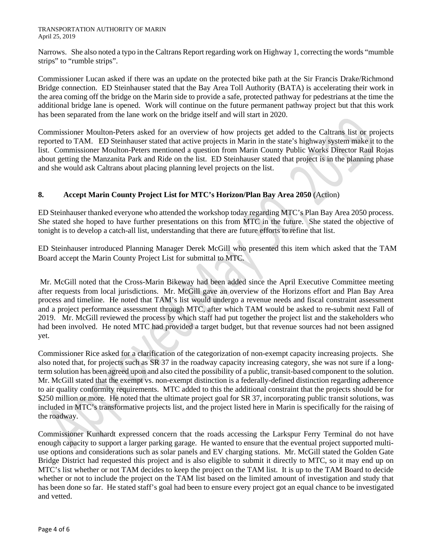Narrows. She also noted a typo in the Caltrans Report regarding work on Highway 1, correcting the words "mumble strips" to "rumble strips".

Commissioner Lucan asked if there was an update on the protected bike path at the Sir Francis Drake/Richmond Bridge connection. ED Steinhauser stated that the Bay Area Toll Authority (BATA) is accelerating their work in the area coming off the bridge on the Marin side to provide a safe, protected pathway for pedestrians at the time the additional bridge lane is opened. Work will continue on the future permanent pathway project but that this work has been separated from the lane work on the bridge itself and will start in 2020.

Commissioner Moulton-Peters asked for an overview of how projects get added to the Caltrans list or projects reported to TAM. ED Steinhauser stated that active projects in Marin in the state's highway system make it to the list. Commissioner Moulton-Peters mentioned a question from Marin County Public Works Director Raul Rojas about getting the Manzanita Park and Ride on the list. ED Steinhauser stated that project is in the planning phase and she would ask Caltrans about placing planning level projects on the list.

## **8. Accept Marin County Project List for MTC's Horizon/Plan Bay Area 2050** (Action)

ED Steinhauser thanked everyone who attended the workshop today regarding MTC's Plan Bay Area 2050 process. She stated she hoped to have further presentations on this from MTC in the future. She stated the objective of tonight is to develop a catch-all list, understanding that there are future efforts to refine that list.

ED Steinhauser introduced Planning Manager Derek McGill who presented this item which asked that the TAM Board accept the Marin County Project List for submittal to MTC.

Mr. McGill noted that the Cross-Marin Bikeway had been added since the April Executive Committee meeting after requests from local jurisdictions. Mr. McGill gave an overview of the Horizons effort and Plan Bay Area process and timeline. He noted that TAM's list would undergo a revenue needs and fiscal constraint assessment and a project performance assessment through MTC, after which TAM would be asked to re-submit next Fall of 2019. Mr. McGill reviewed the process by which staff had put together the project list and the stakeholders who had been involved. He noted MTC had provided a target budget, but that revenue sources had not been assigned yet.

Commissioner Rice asked for a clarification of the categorization of non-exempt capacity increasing projects. She also noted that, for projects such as SR 37 in the roadway capacity increasing category, she was not sure if a longterm solution has been agreed upon and also cited the possibility of a public, transit-based component to the solution. Mr. McGill stated that the exempt vs. non-exempt distinction is a federally-defined distinction regarding adherence to air quality conformity requirements. MTC added to this the additional constraint that the projects should be for \$250 million or more. He noted that the ultimate project goal for SR 37, incorporating public transit solutions, was included in MTC's transformative projects list, and the project listed here in Marin is specifically for the raising of the roadway.

Commissioner Kunhardt expressed concern that the roads accessing the Larkspur Ferry Terminal do not have enough capacity to support a larger parking garage. He wanted to ensure that the eventual project supported multiuse options and considerations such as solar panels and EV charging stations. Mr. McGill stated the Golden Gate Bridge District had requested this project and is also eligible to submit it directly to MTC, so it may end up on MTC's list whether or not TAM decides to keep the project on the TAM list. It is up to the TAM Board to decide whether or not to include the project on the TAM list based on the limited amount of investigation and study that has been done so far. He stated staff's goal had been to ensure every project got an equal chance to be investigated and vetted.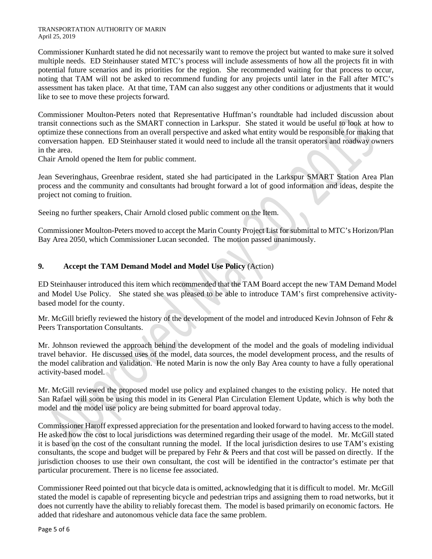#### TRANSPORTATION AUTHORITY OF MARIN April 25, 2019

Commissioner Kunhardt stated he did not necessarily want to remove the project but wanted to make sure it solved multiple needs. ED Steinhauser stated MTC's process will include assessments of how all the projects fit in with potential future scenarios and its priorities for the region. She recommended waiting for that process to occur, noting that TAM will not be asked to recommend funding for any projects until later in the Fall after MTC's assessment has taken place. At that time, TAM can also suggest any other conditions or adjustments that it would like to see to move these projects forward.

Commissioner Moulton-Peters noted that Representative Huffman's roundtable had included discussion about transit connections such as the SMART connection in Larkspur. She stated it would be useful to look at how to optimize these connections from an overall perspective and asked what entity would be responsible for making that conversation happen. ED Steinhauser stated it would need to include all the transit operators and roadway owners in the area.

Chair Arnold opened the Item for public comment.

Jean Severinghaus, Greenbrae resident, stated she had participated in the Larkspur SMART Station Area Plan process and the community and consultants had brought forward a lot of good information and ideas, despite the project not coming to fruition.

Seeing no further speakers, Chair Arnold closed public comment on the Item.

Commissioner Moulton-Peters moved to accept the Marin County Project List for submittal to MTC's Horizon/Plan Bay Area 2050, which Commissioner Lucan seconded. The motion passed unanimously.

## **9. Accept the TAM Demand Model and Model Use Policy** (Action)

ED Steinhauser introduced this item which recommended that the TAM Board accept the new TAM Demand Model and Model Use Policy. She stated she was pleased to be able to introduce TAM's first comprehensive activitybased model for the county.

Mr. McGill briefly reviewed the history of the development of the model and introduced Kevin Johnson of Fehr & Peers Transportation Consultants.

Mr. Johnson reviewed the approach behind the development of the model and the goals of modeling individual travel behavior. He discussed uses of the model, data sources, the model development process, and the results of the model calibration and validation. He noted Marin is now the only Bay Area county to have a fully operational activity-based model.

Mr. McGill reviewed the proposed model use policy and explained changes to the existing policy. He noted that San Rafael will soon be using this model in its General Plan Circulation Element Update, which is why both the model and the model use policy are being submitted for board approval today.

Commissioner Haroff expressed appreciation for the presentation and looked forward to having access to the model. He asked how the cost to local jurisdictions was determined regarding their usage of the model. Mr. McGill stated it is based on the cost of the consultant running the model. If the local jurisdiction desires to use TAM's existing consultants, the scope and budget will be prepared by Fehr & Peers and that cost will be passed on directly. If the jurisdiction chooses to use their own consultant, the cost will be identified in the contractor's estimate per that particular procurement. There is no license fee associated.

Commissioner Reed pointed out that bicycle data is omitted, acknowledging that it is difficult to model. Mr. McGill stated the model is capable of representing bicycle and pedestrian trips and assigning them to road networks, but it does not currently have the ability to reliably forecast them. The model is based primarily on economic factors. He added that rideshare and autonomous vehicle data face the same problem.